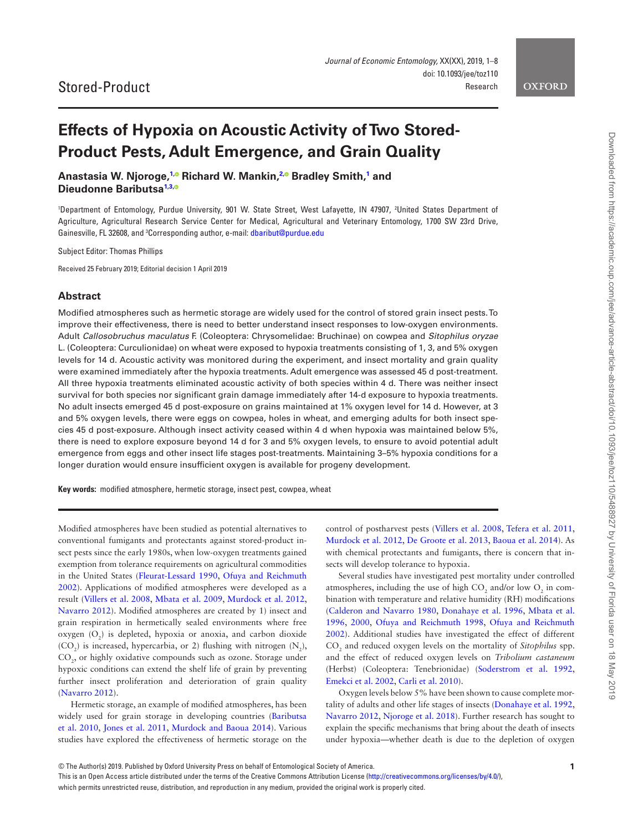**OXFORD** 

# **Effects of Hypoxia on Acoustic Activity of Two Stored-Product Pests, Adult Emergence, and Grain Quality**

**Anastasia W. Njoroge, [1](#page-0-0)[,](https://orcid.org/0000-0001-9155-6423) Richard W. Mankin, [2](#page-0-1)[,](http://orcid.org/0000-0003-3369-8110) Bradley Smith, [1](#page-0-0) and Dieudonne Baributs[a1](#page-0-0)[,3](#page-0-2)[,](http://orcid.org/0000-0001-9155-6423)**

<span id="page-0-1"></span><span id="page-0-0"></span>1 Department of Entomology, Purdue University, 901 W. State Street, West Lafayette, IN 47907, 2 United States Department of Agriculture, Agricultural Research Service Center for Medical, Agricultural and Veterinary Entomology, 1700 SW 23rd Drive, Gainesville, FL 32608, and <sup>3</sup>Corresponding author, e-mail: [dbaribut@purdue.edu](mailto:dbaribut@purdue.edu?subject=)

<span id="page-0-2"></span>Subject Editor: Thomas Phillips

Received 25 February 2019; Editorial decision 1 April 2019

#### **Abstract**

Modified atmospheres such as hermetic storage are widely used for the control of stored grain insect pests. To improve their effectiveness, there is need to better understand insect responses to low-oxygen environments. Adult *Callosobruchus maculatus* F. (Coleoptera: Chrysomelidae: Bruchinae) on cowpea and *Sitophilus oryzae* L. (Coleoptera: Curculionidae) on wheat were exposed to hypoxia treatments consisting of 1, 3, and 5% oxygen levels for 14 d. Acoustic activity was monitored during the experiment, and insect mortality and grain quality were examined immediately after the hypoxia treatments. Adult emergence was assessed 45 d post-treatment. All three hypoxia treatments eliminated acoustic activity of both species within 4 d. There was neither insect survival for both species nor significant grain damage immediately after 14-d exposure to hypoxia treatments. No adult insects emerged 45 d post-exposure on grains maintained at 1% oxygen level for 14 d. However, at 3 and 5% oxygen levels, there were eggs on cowpea, holes in wheat, and emerging adults for both insect species 45 d post-exposure. Although insect activity ceased within 4 d when hypoxia was maintained below 5%, there is need to explore exposure beyond 14 d for 3 and 5% oxygen levels, to ensure to avoid potential adult emergence from eggs and other insect life stages post-treatments. Maintaining 3–5% hypoxia conditions for a longer duration would ensure insufficient oxygen is available for progeny development.

**Key words:** modified atmosphere, hermetic storage, insect pest, cowpea, wheat

Modified atmospheres have been studied as potential alternatives to conventional fumigants and protectants against stored-product insect pests since the early 1980s, when low-oxygen treatments gained exemption from tolerance requirements on agricultural commodities in the United States [\(Fleurat-Lessard 1990,](#page-6-0) [Ofuya and Reichmuth](#page-7-0)  [2002](#page-7-0)). Applications of modified atmospheres were developed as a result [\(Villers et al. 2008](#page-7-1), [Mbata et al. 2009](#page-6-1), [Murdock et al. 2012,](#page-6-2) [Navarro 2012](#page-7-2)). Modified atmospheres are created by 1) insect and grain respiration in hermetically sealed environments where free oxygen  $(O_2)$  is depleted, hypoxia or anoxia, and carbon dioxide  $(CO_2)$  is increased, hypercarbia, or 2) flushing with nitrogen  $(N_2)$ , CO<sub>2</sub>, or highly oxidative compounds such as ozone. Storage under hypoxic conditions can extend the shelf life of grain by preventing further insect proliferation and deterioration of grain quality [\(Navarro 2012\)](#page-7-2).

Hermetic storage, an example of modified atmospheres, has been widely used for grain storage in developing countries ([Baributsa](#page-6-3)  [et al. 2010,](#page-6-3) [Jones et al. 2011,](#page-6-4) [Murdock and Baoua 2014](#page-6-5)). Various studies have explored the effectiveness of hermetic storage on the control of postharvest pests [\(Villers et al. 2008,](#page-7-1) [Tefera et al. 2011,](#page-7-3) [Murdock et al. 2012,](#page-6-2) [De Groote et al. 2013](#page-6-6), [Baoua et al. 2014\)](#page-6-7). As with chemical protectants and fumigants, there is concern that insects will develop tolerance to hypoxia.

Several studies have investigated pest mortality under controlled atmospheres, including the use of high  $CO_2$  and/or low  $O_2$  in combination with temperature and relative humidity (RH) modifications [\(Calderon and Navarro 1980,](#page-6-8) [Donahaye et al. 1996](#page-6-9), [Mbata et al.](#page-6-10)  [1996](#page-6-10), [2000,](#page-6-11) [Ofuya and Reichmuth 1998](#page-7-4), [Ofuya and Reichmuth](#page-7-0)  [2002](#page-7-0)). Additional studies have investigated the effect of different CO2 and reduced oxygen levels on the mortality of *Sitophilus* spp. and the effect of reduced oxygen levels on *Tribolium castaneum* (Herbst) (Coleoptera: Tenebrionidae) ([Soderstrom et al. 1992,](#page-7-5) [Emekci et al. 2002,](#page-6-12) [Carli et al. 2010](#page-6-13)).

Oxygen levels below 5% have been shown to cause complete mortality of adults and other life stages of insects [\(Donahaye et al. 1992,](#page-6-14) [Navarro 2012](#page-7-2), [Njoroge et al. 2018](#page-7-6)). Further research has sought to explain the specific mechanisms that bring about the death of insects under hypoxia—whether death is due to the depletion of oxygen

This is an Open Access article distributed under the terms of the Creative Commons Attribution License (<http://creativecommons.org/licenses/by/4.0/>), which permits unrestricted reuse, distribution, and reproduction in any medium, provided the original work is properly cited.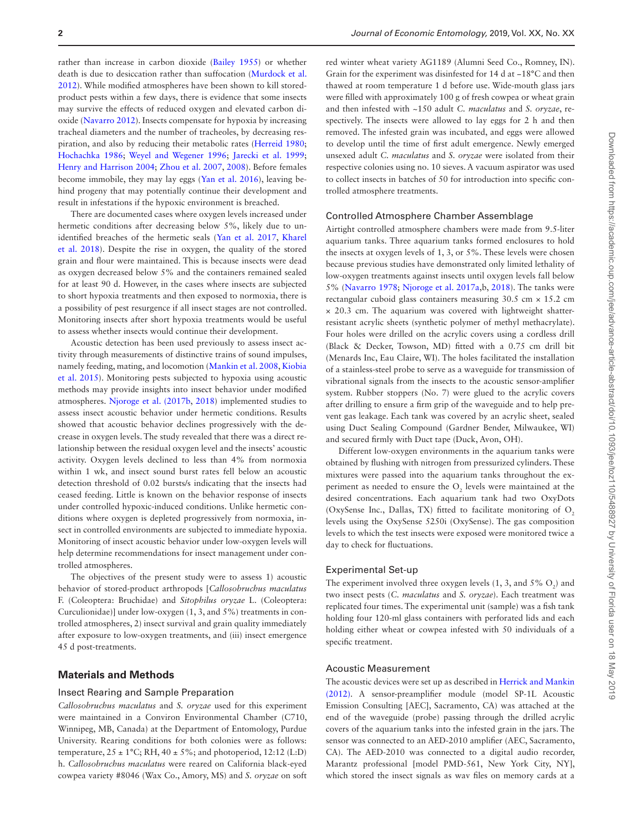rather than increase in carbon dioxide [\(Bailey 1955\)](#page-6-15) or whether death is due to desiccation rather than suffocation [\(Murdock et al.](#page-6-2)  [2012](#page-6-2)). While modified atmospheres have been shown to kill storedproduct pests within a few days, there is evidence that some insects may survive the effects of reduced oxygen and elevated carbon dioxide [\(Navarro 2012](#page-7-2)). Insects compensate for hypoxia by increasing tracheal diameters and the number of tracheoles, by decreasing respiration, and also by reducing their metabolic rates [\(Herreid 1980](#page-6-16); [Hochachka 1986;](#page-6-17) [Weyel and Wegener 1996](#page-7-7); [Jarecki et al. 1999](#page-6-18); [Henry and Harrison 2004;](#page-6-19) [Zhou et al. 2007,](#page-7-8) [2008](#page-7-9)). Before females become immobile, they may lay eggs [\(Yan et al. 2016](#page-7-10)), leaving behind progeny that may potentially continue their development and result in infestations if the hypoxic environment is breached.

There are documented cases where oxygen levels increased under hermetic conditions after decreasing below 5%, likely due to unidentified breaches of the hermetic seals ([Yan et al. 2017](#page-7-11), [Kharel](#page-6-20)  [et al. 2018\)](#page-6-20). Despite the rise in oxygen, the quality of the stored grain and flour were maintained. This is because insects were dead as oxygen decreased below 5% and the containers remained sealed for at least 90 d. However, in the cases where insects are subjected to short hypoxia treatments and then exposed to normoxia, there is a possibility of pest resurgence if all insect stages are not controlled. Monitoring insects after short hypoxia treatments would be useful to assess whether insects would continue their development.

Acoustic detection has been used previously to assess insect activity through measurements of distinctive trains of sound impulses, namely feeding, mating, and locomotion ([Mankin et al. 2008,](#page-6-21) [Kiobia](#page-6-22)  [et al. 2015\)](#page-6-22). Monitoring pests subjected to hypoxia using acoustic methods may provide insights into insect behavior under modified atmospheres. [Njoroge et al. \(2017b](#page-7-12), [2018\)](#page-7-6) implemented studies to assess insect acoustic behavior under hermetic conditions. Results showed that acoustic behavior declines progressively with the decrease in oxygen levels. The study revealed that there was a direct relationship between the residual oxygen level and the insects' acoustic activity. Oxygen levels declined to less than 4% from normoxia within 1 wk, and insect sound burst rates fell below an acoustic detection threshold of 0.02 bursts/s indicating that the insects had ceased feeding. Little is known on the behavior response of insects under controlled hypoxic-induced conditions. Unlike hermetic conditions where oxygen is depleted progressively from normoxia, insect in controlled environments are subjected to immediate hypoxia. Monitoring of insect acoustic behavior under low-oxygen levels will help determine recommendations for insect management under controlled atmospheres.

The objectives of the present study were to assess 1) acoustic behavior of stored-product arthropods [*Callosobruchus maculatus* F. (Coleoptera: Bruchidae) and *Sitophilus oryzae* L. (Coleoptera: Curculionidae)] under low-oxygen (1, 3, and 5%) treatments in controlled atmospheres, 2) insect survival and grain quality immediately after exposure to low-oxygen treatments, and (iii) insect emergence 45 d post-treatments.

## **Materials and Methods**

#### Insect Rearing and Sample Preparation

*Callosobruchus maculatus* and *S. oryzae* used for this experiment were maintained in a Conviron Environmental Chamber (C710, Winnipeg, MB, Canada) at the Department of Entomology, Purdue University. Rearing conditions for both colonies were as follows: temperature,  $25 \pm 1^{\circ}$ C; RH,  $40 \pm 5\%$ ; and photoperiod, 12:12 (L:D) h. *Callosobruchus maculatus* were reared on California black-eyed cowpea variety #8046 (Wax Co., Amory, MS) and *S. oryzae* on soft

red winter wheat variety AG1189 (Alumni Seed Co., Romney, IN). Grain for the experiment was disinfested for 14 d at −18°C and then thawed at room temperature 1 d before use. Wide-mouth glass jars were filled with approximately 100 g of fresh cowpea or wheat grain and then infested with ~150 adult *C. maculatus* and *S. oryzae*, respectively. The insects were allowed to lay eggs for 2 h and then removed. The infested grain was incubated, and eggs were allowed to develop until the time of first adult emergence. Newly emerged unsexed adult *C. maculatus* and *S. oryzae* were isolated from their respective colonies using no. 10 sieves. A vacuum aspirator was used to collect insects in batches of 50 for introduction into specific controlled atmosphere treatments.

#### Controlled Atmosphere Chamber Assemblage

Airtight controlled atmosphere chambers were made from 9.5-liter aquarium tanks. Three aquarium tanks formed enclosures to hold the insects at oxygen levels of 1, 3, or 5%. These levels were chosen because previous studies have demonstrated only limited lethality of low-oxygen treatments against insects until oxygen levels fall below 5% [\(Navarro 1978](#page-7-13); [Njoroge et al. 2017a](#page-7-14),b, [2018](#page-7-6)). The tanks were rectangular cuboid glass containers measuring 30.5 cm × 15.2 cm × 20.3 cm. The aquarium was covered with lightweight shatterresistant acrylic sheets (synthetic polymer of methyl methacrylate). Four holes were drilled on the acrylic covers using a cordless drill (Black & Decker, Towson, MD) fitted with a 0.75 cm drill bit (Menards Inc, Eau Claire, WI). The holes facilitated the installation of a stainless-steel probe to serve as a waveguide for transmission of vibrational signals from the insects to the acoustic sensor-amplifier system. Rubber stoppers (No. 7) were glued to the acrylic covers after drilling to ensure a firm grip of the waveguide and to help prevent gas leakage. Each tank was covered by an acrylic sheet, sealed using Duct Sealing Compound (Gardner Bender, Milwaukee, WI) and secured firmly with Duct tape (Duck, Avon, OH).

Different low-oxygen environments in the aquarium tanks were obtained by flushing with nitrogen from pressurized cylinders. These mixtures were passed into the aquarium tanks throughout the experiment as needed to ensure the  $O_2$  levels were maintained at the desired concentrations. Each aquarium tank had two OxyDots (OxySense Inc., Dallas, TX) fitted to facilitate monitoring of  $O<sub>2</sub>$ levels using the OxySense 5250i (OxySense). The gas composition levels to which the test insects were exposed were monitored twice a day to check for fluctuations.

#### Experimental Set-up

The experiment involved three oxygen levels  $(1, 3,$  and  $5\%$  O<sub>2</sub>) and two insect pests (*C. maculatus* and *S. oryzae*). Each treatment was replicated four times. The experimental unit (sample) was a fish tank holding four 120-ml glass containers with perforated lids and each holding either wheat or cowpea infested with 50 individuals of a specific treatment.

## Acoustic Measurement

The acoustic devices were set up as described in [Herrick and Mankin](#page-6-23)  [\(2012\).](#page-6-23) A sensor-preamplifier module (model SP-1L Acoustic Emission Consulting [AEC], Sacramento, CA) was attached at the end of the waveguide (probe) passing through the drilled acrylic covers of the aquarium tanks into the infested grain in the jars. The sensor was connected to an AED-2010 amplifier (AEC, Sacramento, CA). The AED-2010 was connected to a digital audio recorder, Marantz professional [model PMD-561, New York City, NY], which stored the insect signals as wav files on memory cards at a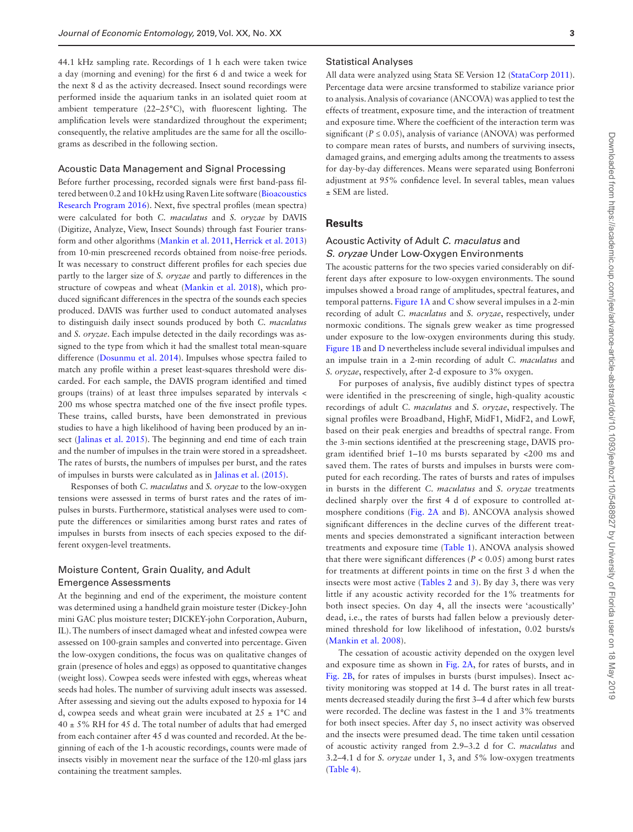44.1 kHz sampling rate. Recordings of 1 h each were taken twice a day (morning and evening) for the first 6 d and twice a week for the next 8 d as the activity decreased. Insect sound recordings were performed inside the aquarium tanks in an isolated quiet room at ambient temperature (22–25°C), with fluorescent lighting. The amplification levels were standardized throughout the experiment; consequently, the relative amplitudes are the same for all the oscillograms as described in the following section.

#### Acoustic Data Management and Signal Processing

Before further processing, recorded signals were first band-pass filtered between 0.2 and 10 kHz using Raven Lite software ([Bioacoustics](#page-6-24)  [Research Program 2016](#page-6-24)). Next, five spectral profiles (mean spectra) were calculated for both *C. maculatus* and *S. oryzae* by DAVIS (Digitize, Analyze, View, Insect Sounds) through fast Fourier transform and other algorithms ([Mankin et al. 2011,](#page-6-25) [Herrick et al. 2013\)](#page-6-26) from 10-min prescreened records obtained from noise-free periods. It was necessary to construct different profiles for each species due partly to the larger size of *S. oryzae* and partly to differences in the structure of cowpeas and wheat [\(Mankin et al. 2018](#page-6-27)), which produced significant differences in the spectra of the sounds each species produced. DAVIS was further used to conduct automated analyses to distinguish daily insect sounds produced by both *C. maculatus* and *S. oryzae*. Each impulse detected in the daily recordings was assigned to the type from which it had the smallest total mean-square difference ([Dosunmu et al. 2014\)](#page-6-28). Impulses whose spectra failed to match any profile within a preset least-squares threshold were discarded. For each sample, the DAVIS program identified and timed groups (trains) of at least three impulses separated by intervals < 200 ms whose spectra matched one of the five insect profile types. These trains, called bursts, have been demonstrated in previous studies to have a high likelihood of having been produced by an insect ([Jalinas et al. 2015](#page-6-29)). The beginning and end time of each train and the number of impulses in the train were stored in a spreadsheet. The rates of bursts, the numbers of impulses per burst, and the rates of impulses in bursts were calculated as in [Jalinas et al. \(2015\)](#page-6-29).

Responses of both *C. maculatus* and *S. oryzae* to the low-oxygen tensions were assessed in terms of burst rates and the rates of impulses in bursts. Furthermore, statistical analyses were used to compute the differences or similarities among burst rates and rates of impulses in bursts from insects of each species exposed to the different oxygen-level treatments.

# Moisture Content, Grain Quality, and Adult Emergence Assessments

At the beginning and end of the experiment, the moisture content was determined using a handheld grain moisture tester (Dickey-John mini GAC plus moisture tester; DICKEY-john Corporation, Auburn, IL). The numbers of insect damaged wheat and infested cowpea were assessed on 100-grain samples and converted into percentage. Given the low-oxygen conditions, the focus was on qualitative changes of grain (presence of holes and eggs) as opposed to quantitative changes (weight loss). Cowpea seeds were infested with eggs, whereas wheat seeds had holes. The number of surviving adult insects was assessed. After assessing and sieving out the adults exposed to hypoxia for 14 d, cowpea seeds and wheat grain were incubated at  $25 \pm 1$ °C and  $40 \pm 5\%$  RH for 45 d. The total number of adults that had emerged from each container after 45 d was counted and recorded. At the beginning of each of the 1-h acoustic recordings, counts were made of insects visibly in movement near the surface of the 120-ml glass jars containing the treatment samples.

## Statistical Analyses

All data were analyzed using Stata SE Version 12 ([StataCorp 2011](#page-7-15)). Percentage data were arcsine transformed to stabilize variance prior to analysis. Analysis of covariance (ANCOVA) was applied to test the effects of treatment, exposure time, and the interaction of treatment and exposure time. Where the coefficient of the interaction term was significant ( $P \le 0.05$ ), analysis of variance (ANOVA) was performed to compare mean rates of bursts, and numbers of surviving insects, damaged grains, and emerging adults among the treatments to assess for day-by-day differences. Means were separated using Bonferroni adjustment at 95% confidence level. In several tables, mean values ± SEM are listed.

## **Results**

## Acoustic Activity of Adult *C. maculatus* and *S. oryzae* Under Low-Oxygen Environments

The acoustic patterns for the two species varied considerably on different days after exposure to low-oxygen environments. The sound impulses showed a broad range of amplitudes, spectral features, and temporal patterns. [Figure 1A](#page-3-0) and [C](#page-3-0) show several impulses in a 2-min recording of adult *C. maculatus* and *S. oryzae*, respectively, under normoxic conditions. The signals grew weaker as time progressed under exposure to the low-oxygen environments during this study. [Figure 1B](#page-3-0) and [D](#page-3-0) nevertheless include several individual impulses and an impulse train in a 2-min recording of adult *C. maculatus* and *S. oryzae*, respectively, after 2-d exposure to 3% oxygen.

For purposes of analysis, five audibly distinct types of spectra were identified in the prescreening of single, high-quality acoustic recordings of adult *C. maculatus* and *S. oryzae*, respectively. The signal profiles were Broadband, HighF, MidF1, MidF2, and LowF, based on their peak energies and breadths of spectral range. From the 3-min sections identified at the prescreening stage, DAVIS program identified brief 1–10 ms bursts separated by <200 ms and saved them. The rates of bursts and impulses in bursts were computed for each recording. The rates of bursts and rates of impulses in bursts in the different *C. maculatus* and *S. oryzae* treatments declined sharply over the first 4 d of exposure to controlled atmosphere conditions [\(Fig. 2A](#page-3-1) and [B](#page-3-1)). ANCOVA analysis showed significant differences in the decline curves of the different treatments and species demonstrated a significant interaction between treatments and exposure time ([Table 1](#page-4-0)). ANOVA analysis showed that there were significant differences ( $P < 0.05$ ) among burst rates for treatments at different points in time on the first 3 d when the insects were most active [\(Tables 2](#page-4-1) and [3\)](#page-4-2). By day 3, there was very little if any acoustic activity recorded for the 1% treatments for both insect species. On day 4, all the insects were 'acoustically' dead, i.e., the rates of bursts had fallen below a previously determined threshold for low likelihood of infestation, 0.02 bursts/s [\(Mankin et al. 2008](#page-6-21)).

The cessation of acoustic activity depended on the oxygen level and exposure time as shown in [Fig. 2A](#page-3-1), for rates of bursts, and in [Fig. 2B,](#page-3-1) for rates of impulses in bursts (burst impulses). Insect activity monitoring was stopped at 14 d. The burst rates in all treatments decreased steadily during the first 3–4 d after which few bursts were recorded. The decline was fastest in the 1 and 3% treatments for both insect species. After day 5, no insect activity was observed and the insects were presumed dead. The time taken until cessation of acoustic activity ranged from 2.9–3.2 d for *C. maculatus* and 3.2–4.1 d for *S. oryzae* under 1, 3, and 5% low-oxygen treatments [\(Table 4\)](#page-5-0).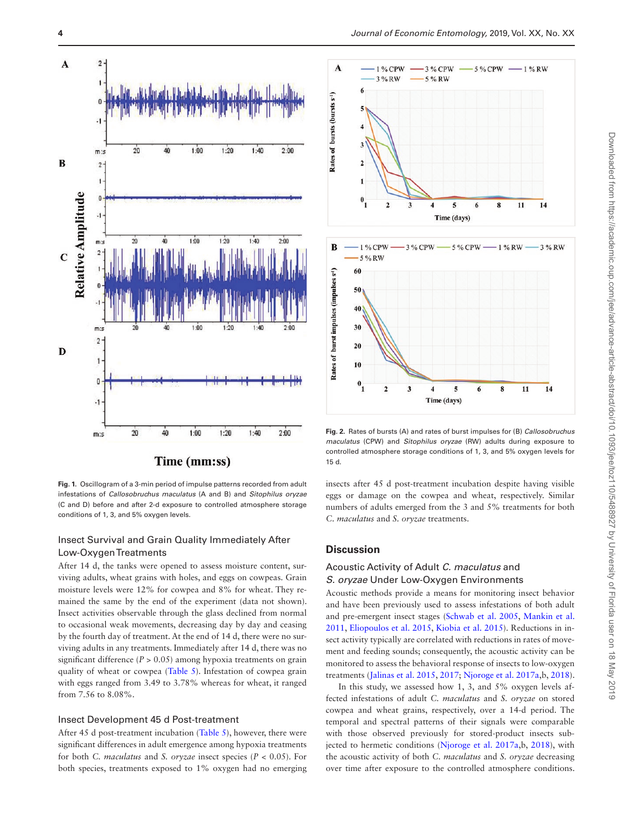

<span id="page-3-0"></span>**Fig. 1.** Oscillogram of a 3-min period of impulse patterns recorded from adult infestations of *Callosobruchus maculatus* (A and B) and *Sitophilus oryzae* (C and D) before and after 2-d exposure to controlled atmosphere storage conditions of 1, 3, and 5% oxygen levels.

# Insect Survival and Grain Quality Immediately After Low-Oxygen Treatments

After 14 d, the tanks were opened to assess moisture content, surviving adults, wheat grains with holes, and eggs on cowpeas. Grain moisture levels were 12% for cowpea and 8% for wheat. They remained the same by the end of the experiment (data not shown). Insect activities observable through the glass declined from normal to occasional weak movements, decreasing day by day and ceasing by the fourth day of treatment. At the end of 14 d, there were no surviving adults in any treatments. Immediately after 14 d, there was no significant difference ( $P > 0.05$ ) among hypoxia treatments on grain quality of wheat or cowpea ([Table 5](#page-5-1)). Infestation of cowpea grain with eggs ranged from 3.49 to 3.78% whereas for wheat, it ranged from 7.56 to 8.08%.

## Insect Development 45 d Post-treatment

After 45 d post-treatment incubation [\(Table 5](#page-5-1)), however, there were significant differences in adult emergence among hypoxia treatments for both *C. maculatus* and *S. oryzae* insect species (*P* < 0.05). For both species, treatments exposed to 1% oxygen had no emerging



<span id="page-3-1"></span>**Fig. 2.** Rates of bursts (A) and rates of burst impulses for (B) *Callosobruchus maculatus* (CPW) and *Sitophilus oryzae* (RW) adults during exposure to controlled atmosphere storage conditions of 1, 3, and 5% oxygen levels for 15 d.

insects after 45 d post-treatment incubation despite having visible eggs or damage on the cowpea and wheat, respectively. Similar numbers of adults emerged from the 3 and 5% treatments for both *C. maculatus* and *S. oryzae* treatments.

## **Discussion**

# Acoustic Activity of Adult *C. maculatus* and *S. oryzae* Under Low-Oxygen Environments

Acoustic methods provide a means for monitoring insect behavior and have been previously used to assess infestations of both adult and pre-emergent insect stages ([Schwab et al. 2005,](#page-7-16) [Mankin et al.](#page-6-25)  [2011](#page-6-25), [Eliopoulos et al. 2015,](#page-6-30) [Kiobia et al. 2015\)](#page-6-22). Reductions in insect activity typically are correlated with reductions in rates of movement and feeding sounds; consequently, the acoustic activity can be monitored to assess the behavioral response of insects to low-oxygen treatments ([Jalinas et al. 2015,](#page-6-29) [2017;](#page-6-31) [Njoroge et al. 2017a](#page-7-14),b, [2018](#page-7-6)).

In this study, we assessed how 1, 3, and 5% oxygen levels affected infestations of adult *C. maculatus* and *S. oryzae* on stored cowpea and wheat grains, respectively, over a 14-d period. The temporal and spectral patterns of their signals were comparable with those observed previously for stored-product insects subjected to hermetic conditions [\(Njoroge et al. 2017a](#page-7-14),b, [2018](#page-7-6)), with the acoustic activity of both *C. maculatus* and *S. oryzae* decreasing over time after exposure to the controlled atmosphere conditions.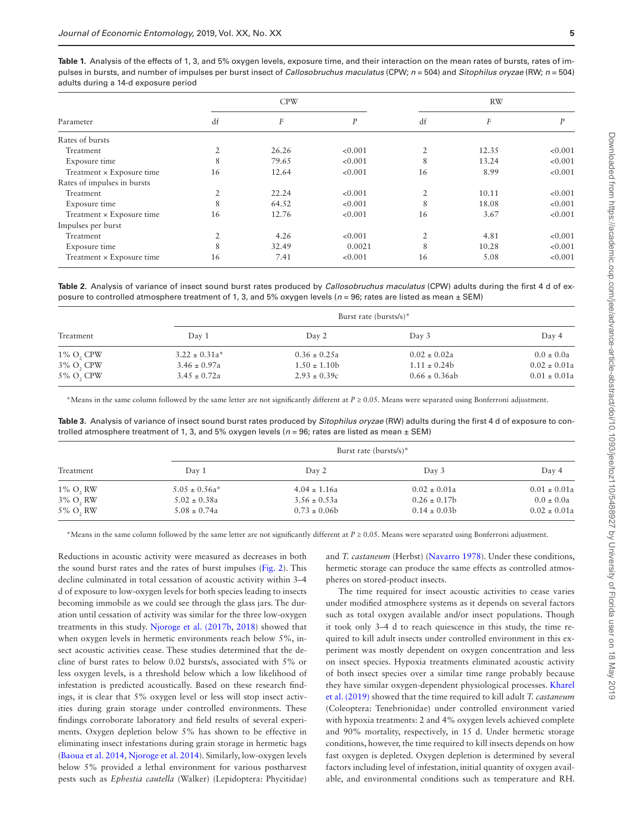<span id="page-4-0"></span>Table 1. Analysis of the effects of 1, 3, and 5% oxygen levels, exposure time, and their interaction on the mean rates of bursts, rates of impulses in bursts, and number of impulses per burst insect of *Callosobruchus maculatus* (CPW; *n* = 504) and *Sitophilus oryzae* (RW; *n* = 504) adults during a 14-d exposure period

| Parameter                   | <b>CPW</b>     |       |         | <b>RW</b>      |                  |         |
|-----------------------------|----------------|-------|---------|----------------|------------------|---------|
|                             | df             | F     | P       | df             | $\boldsymbol{F}$ | P       |
| Rates of bursts             |                |       |         |                |                  |         |
| Treatment                   | $\overline{2}$ | 26.26 | < 0.001 | 2              | 12.35            | < 0.001 |
| Exposure time               | 8              | 79.65 | < 0.001 | 8              | 13.24            | < 0.001 |
| Treatment × Exposure time   | 16             | 12.64 | < 0.001 | 16             | 8.99             | < 0.001 |
| Rates of impulses in bursts |                |       |         |                |                  |         |
| Treatment                   | $\overline{2}$ | 22.24 | < 0.001 | 2              | 10.11            | < 0.001 |
| Exposure time               | 8              | 64.52 | < 0.001 | 8              | 18.08            | < 0.001 |
| Treatment × Exposure time   | 16             | 12.76 | < 0.001 | 16             | 3.67             | < 0.001 |
| Impulses per burst          |                |       |         |                |                  |         |
| Treatment                   | $\overline{2}$ | 4.26  | < 0.001 | $\overline{2}$ | 4.81             | < 0.001 |
| Exposure time               | 8              | 32.49 | 0.0021  | 8              | 10.28            | < 0.001 |
| Treatment × Exposure time   | 16             | 7.41  | < 0.001 | 16             | 5.08             | < 0.001 |

<span id="page-4-1"></span>**Table 2.** Analysis of variance of insect sound burst rates produced by *Callosobruchus maculatus* (CPW) adults during the first 4 d of exposure to controlled atmosphere treatment of 1, 3, and 5% oxygen levels (*n* = 96; rates are listed as mean ± SEM)

| Treatment    |                    | Burst rate (bursts/s)* |                    |                  |  |
|--------------|--------------------|------------------------|--------------------|------------------|--|
|              | Day 1              | Day 2                  | Day 3              | Day 4            |  |
| $1\%$ O, CPW | $3.22 \pm 0.31a^*$ | $0.36 \pm 0.25a$       | $0.02 \pm 0.02a$   | $0.0 \pm 0.0a$   |  |
| 3% O, CPW    | $3.46 \pm 0.97a$   | $1.50 \pm 1.10b$       | $1.11 \pm 0.24b$   | $0.02 \pm 0.01a$ |  |
| 5% O, CPW    | $3.45 \pm 0.72a$   | $2.93 \pm 0.39c$       | $0.66 \pm 0.36$ ab | $0.01 \pm 0.01a$ |  |

\*Means in the same column followed by the same letter are not significantly different at *P* ≥ 0.05. Means were separated using Bonferroni adjustment.

<span id="page-4-2"></span>**Table 3.** Analysis of variance of insect sound burst rates produced by *Sitophilus oryzae* (RW) adults during the first 4 d of exposure to controlled atmosphere treatment of 1, 3, and 5% oxygen levels (*n* = 96; rates are listed as mean ± SEM)

| Treatment   |                    | Burst rate (bursts/s)* |                  |                  |  |
|-------------|--------------------|------------------------|------------------|------------------|--|
|             | Day 1              | Day 2                  | Day 3            | Day 4            |  |
| $1\%$ O, RW | $5.05 \pm 0.56a^*$ | $4.04 \pm 1.16a$       | $0.02 \pm 0.01a$ | $0.01 \pm 0.01a$ |  |
| 3% O, RW    | $5.02 \pm 0.38a$   | $3.56 \pm 0.53a$       | $0.26 \pm 0.17$  | $0.0 \pm 0.0a$   |  |
| 5% O, RW    | $5.08 \pm 0.74a$   | $0.73 \pm 0.06$        | $0.14 \pm 0.03$  | $0.02 \pm 0.01a$ |  |

\*Means in the same column followed by the same letter are not significantly different at *P* ≥ 0.05. Means were separated using Bonferroni adjustment.

Reductions in acoustic activity were measured as decreases in both the sound burst rates and the rates of burst impulses [\(Fig. 2](#page-3-1)). This decline culminated in total cessation of acoustic activity within 3–4 d of exposure to low-oxygen levels for both species leading to insects becoming immobile as we could see through the glass jars. The duration until cessation of activity was similar for the three low-oxygen treatments in this study. [Njoroge et al. \(2017b,](#page-7-12) [2018](#page-7-6)) showed that when oxygen levels in hermetic environments reach below 5%, insect acoustic activities cease. These studies determined that the decline of burst rates to below 0.02 bursts/s, associated with 5% or less oxygen levels, is a threshold below which a low likelihood of infestation is predicted acoustically. Based on these research findings, it is clear that 5% oxygen level or less will stop insect activities during grain storage under controlled environments. These findings corroborate laboratory and field results of several experiments. Oxygen depletion below 5% has shown to be effective in eliminating insect infestations during grain storage in hermetic bags [\(Baoua et al. 2014](#page-6-7), [Njoroge et al. 2014](#page-7-17)). Similarly, low-oxygen levels below 5% provided a lethal environment for various postharvest pests such as *Ephestia cautella* (Walker) (Lepidoptera: Phycitidae)

and *T. castaneum* (Herbst) [\(Navarro 1978\)](#page-7-13). Under these conditions, hermetic storage can produce the same effects as controlled atmospheres on stored-product insects.

The time required for insect acoustic activities to cease varies under modified atmosphere systems as it depends on several factors such as total oxygen available and/or insect populations. Though it took only 3–4 d to reach quiescence in this study, the time required to kill adult insects under controlled environment in this experiment was mostly dependent on oxygen concentration and less on insect species. Hypoxia treatments eliminated acoustic activity of both insect species over a similar time range probably because they have similar oxygen-dependent physiological processes. [Kharel](#page-6-32)  [et al. \(2019\)](#page-6-32) showed that the time required to kill adult *T. castaneum* (Coleoptera: Tenebrionidae) under controlled environment varied with hypoxia treatments: 2 and 4% oxygen levels achieved complete and 90% mortality, respectively, in 15 d. Under hermetic storage conditions, however, the time required to kill insects depends on how fast oxygen is depleted. Oxygen depletion is determined by several factors including level of infestation, initial quantity of oxygen available, and environmental conditions such as temperature and RH.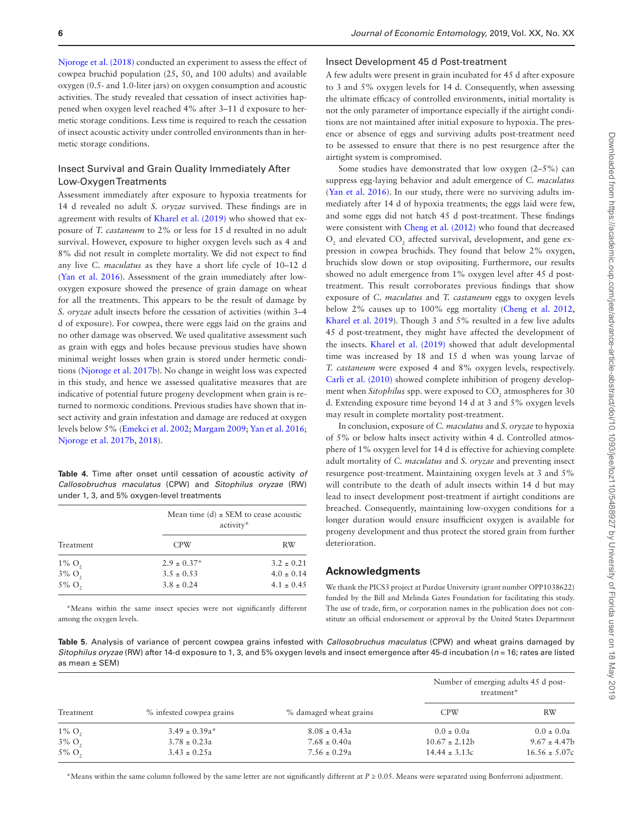[Njoroge et al. \(2018\)](#page-7-6) conducted an experiment to assess the effect of cowpea bruchid population (25, 50, and 100 adults) and available oxygen (0.5- and 1.0-liter jars) on oxygen consumption and acoustic activities. The study revealed that cessation of insect activities happened when oxygen level reached 4% after 3–11 d exposure to hermetic storage conditions. Less time is required to reach the cessation of insect acoustic activity under controlled environments than in hermetic storage conditions.

## Insect Survival and Grain Quality Immediately After Low-Oxygen Treatments

Assessment immediately after exposure to hypoxia treatments for 14 d revealed no adult *S. oryzae* survived. These findings are in agreement with results of [Kharel et al. \(2019\)](#page-6-32) who showed that exposure of *T. castaneum* to 2% or less for 15 d resulted in no adult survival. However, exposure to higher oxygen levels such as 4 and 8% did not result in complete mortality. We did not expect to find any live *C. maculatus* as they have a short life cycle of 10–12 d [\(Yan et al. 2016\)](#page-7-10). Assessment of the grain immediately after lowoxygen exposure showed the presence of grain damage on wheat for all the treatments. This appears to be the result of damage by *S. oryzae* adult insects before the cessation of activities (within 3–4 d of exposure). For cowpea, there were eggs laid on the grains and no other damage was observed. We used qualitative assessment such as grain with eggs and holes because previous studies have shown minimal weight losses when grain is stored under hermetic conditions [\(Njoroge et al. 2017b\)](#page-7-12). No change in weight loss was expected in this study, and hence we assessed qualitative measures that are indicative of potential future progeny development when grain is returned to normoxic conditions. Previous studies have shown that insect activity and grain infestation and damage are reduced at oxygen levels below 5% ([Emekci et al. 2002;](#page-6-12) [Margam 2009](#page-6-33); [Yan et al. 2016](#page-7-10); [Njoroge et al. 2017b](#page-7-12), [2018](#page-7-6)).

<span id="page-5-0"></span>**Table 4.** Time after onset until cessation of acoustic activity *of Callosobruchus maculatus* (CPW) and *Sitophilus oryzae* (RW) under 1, 3, and 5% oxygen-level treatments

| Treatment            | Mean time (d) $\pm$ SEM to cease acoustic<br>activity* |                |  |
|----------------------|--------------------------------------------------------|----------------|--|
|                      | <b>CPW</b>                                             | RW             |  |
| $1\% \text{ O}$ ,    | $2.9 \pm 0.37^*$                                       | $3.2 \pm 0.21$ |  |
| $3\%$ O <sub>2</sub> | $3.5 \pm 0.53$                                         | $4.0 \pm 0.14$ |  |
| 5% O <sub>2</sub>    | $3.8 \pm 0.24$                                         | $4.1 \pm 0.45$ |  |

\*Means within the same insect species were not significantly different among the oxygen levels.

#### Insect Development 45 d Post-treatment

A few adults were present in grain incubated for 45 d after exposure to 3 and 5% oxygen levels for 14 d. Consequently, when assessing the ultimate efficacy of controlled environments, initial mortality is not the only parameter of importance especially if the airtight conditions are not maintained after initial exposure to hypoxia. The presence or absence of eggs and surviving adults post-treatment need to be assessed to ensure that there is no pest resurgence after the airtight system is compromised.

Some studies have demonstrated that low oxygen (2–5%) can suppress egg-laying behavior and adult emergence of *C. maculatus* [\(Yan et al. 2016\)](#page-7-10). In our study, there were no surviving adults immediately after 14 d of hypoxia treatments; the eggs laid were few, and some eggs did not hatch 45 d post-treatment. These findings were consistent with [Cheng et al. \(2012\)](#page-6-34) who found that decreased  $O_2$  and elevated  $CO_2$  affected survival, development, and gene expression in cowpea bruchids. They found that below 2% oxygen, bruchids slow down or stop ovipositing. Furthermore, our results showed no adult emergence from 1% oxygen level after 45 d posttreatment. This result corroborates previous findings that show exposure of *C. maculatus* and *T. castaneum* eggs to oxygen levels below 2% causes up to 100% egg mortality ([Cheng et al. 2012,](#page-6-34) [Kharel et al. 2019\)](#page-6-32). Though 3 and 5% resulted in a few live adults 45 d post-treatment, they might have affected the development of the insects. [Kharel et al. \(2019\)](#page-6-32) showed that adult developmental time was increased by 18 and 15 d when was young larvae of *T. castaneum* were exposed 4 and 8% oxygen levels, respectively. [Carli et al. \(2010\)](#page-6-13) showed complete inhibition of progeny development when *Sitophilus* spp. were exposed to CO<sub>2</sub> atmospheres for 30 d. Extending exposure time beyond 14 d at 3 and 5% oxygen levels may result in complete mortality post-treatment.

In conclusion, exposure of *C. maculatus* and *S. oryzae* to hypoxia of 5% or below halts insect activity within 4 d. Controlled atmosphere of 1% oxygen level for 14 d is effective for achieving complete adult mortality of *C. maculatus* and *S. oryzae* and preventing insect resurgence post-treatment. Maintaining oxygen levels at 3 and 5% will contribute to the death of adult insects within 14 d but may lead to insect development post-treatment if airtight conditions are breached. Consequently, maintaining low-oxygen conditions for a longer duration would ensure insufficient oxygen is available for progeny development and thus protect the stored grain from further deterioration.

# **Acknowledgments**

We thank the PICS3 project at Purdue University (grant number OPP1038622) funded by the Bill and Melinda Gates Foundation for facilitating this study. The use of trade, firm, or corporation names in the publication does not constitute an official endorsement or approval by the United States Department

<span id="page-5-1"></span>**Table 5.** Analysis of variance of percent cowpea grains infested with *Callosobruchus maculatus* (CPW) and wheat grains damaged by *Sitophilus oryzae* (RW) after 14-d exposure to 1, 3, and 5% oxygen levels and insect emergence after 45-d incubation (*n* = 16; rates are listed as mean ± SEM)

| Treatment            |                          | % damaged wheat grains | Number of emerging adults 45 d post-<br>treatment* |                   |
|----------------------|--------------------------|------------------------|----------------------------------------------------|-------------------|
|                      | % infested cowpea grains |                        | <b>CPW</b>                                         | RW                |
| $1\% \text{ O}_2$    | $3.49 \pm 0.39a^*$       | $8.08 \pm 0.43a$       | $0.0 \pm 0.0a$                                     | $0.0 \pm 0.0a$    |
| $3\%$ O <sub>2</sub> | $3.78 \pm 0.23a$         | $7.68 \pm 0.40a$       | $10.67 \pm 2.12b$                                  | $9.67 \pm 4.47$   |
| 5% O <sub>2</sub>    | $3.43 \pm 0.25a$         | $7.56 \pm 0.29a$       | $14.44 \pm 3.13c$                                  | $16.56 \pm 5.07c$ |

\*Means within the same column followed by the same letter are not significantly different at *P* ≥ 0.05. Means were separated using Bonferroni adjustment.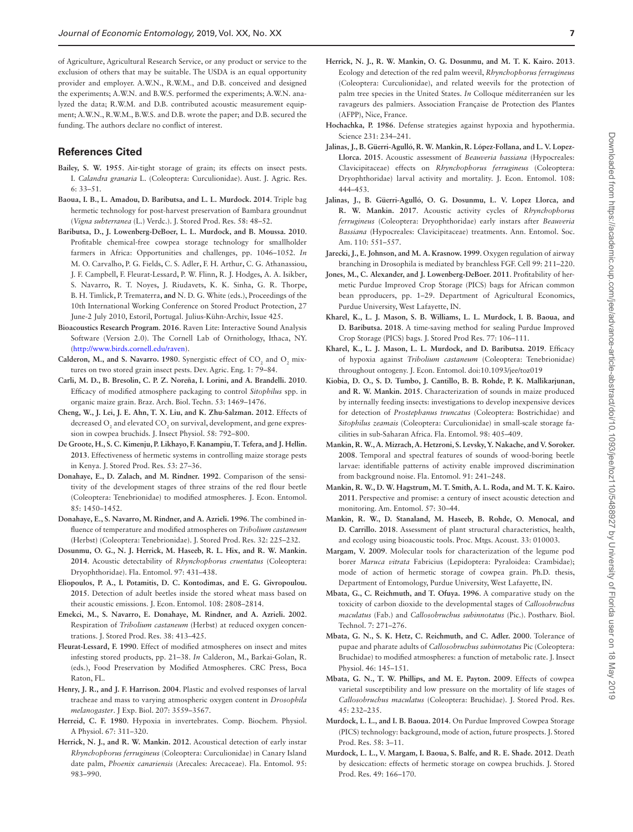of Agriculture, Agricultural Research Service, or any product or service to the exclusion of others that may be suitable. The USDA is an equal opportunity provider and employer. A.W.N., R.W.M., and D.B. conceived and designed the experiments; A.W.N. and B.W.S. performed the experiments; A.W.N. analyzed the data; R.W.M. and D.B. contributed acoustic measurement equipment; A.W.N., R.W.M., B.W.S. and D.B. wrote the paper; and D.B. secured the funding. The authors declare no conflict of interest.

#### **References Cited**

- <span id="page-6-15"></span>**Bailey, S. W. 1955**. Air-tight storage of grain; its effects on insect pests. I. *Calandra granaria* L. (Coleoptera: Curculionidae). Aust. J. Agric. Res. 6: 33–51.
- <span id="page-6-7"></span>**Baoua, I. B., L. Amadou, D. Baributsa, and L. L. Murdock. 2014**. Triple bag hermetic technology for post-harvest preservation of Bambara groundnut (*Vigna subterranea* (L.) Verdc.). J. Stored Prod. Res. 58: 48–52.
- <span id="page-6-3"></span>**Baributsa, D., J. Lowenberg-DeBoer, L. L. Murdock, and B. Moussa. 2010**. Profitable chemical-free cowpea storage technology for smallholder farmers in Africa: Opportunities and challenges, pp. 1046–1052. *In*  M. O. Carvalho**,** P. G. Fields**,** C. S. Adler**,** F. H. Arthur**,** C. G. Athanassiou**,**  J. F. Campbell**,** F. Fleurat-Lessard**,** P. W. Flinn**,** R. J. Hodges**,** A. A. Isikber**,**  S. Navarro**,** R. T. Noyes**,** J. Riudavets**,** K. K. Sinha**,** G. R. Thorpe**,**  B. H. Timlick**,** P. Trematerra**, and** N. D. G. White (eds.), Proceedings of the 10th International Working Conference on Stored Product Protection, 27 June-2 July 2010, Estoril, Portugal. Julius-Kühn-Archiv, Issue 425.
- <span id="page-6-24"></span>**Bioacoustics Research Program**. **2016**. Raven Lite: Interactive Sound Analysis Software (Version 2.0). The Cornell Lab of Ornithology, Ithaca, NY. (<http://www.birds.cornell.edu/raven>).
- <span id="page-6-8"></span>**Calderon, M., and S. Navarro. 1980.** Synergistic effect of  $CO_2$  and  $O_2$  mixtures on two stored grain insect pests. Dev. Agric. Eng. 1: 79–84.
- <span id="page-6-13"></span>**Carli, M. D., B. Bresolin, C. P. Z. Noreña, I. Lorini, and A. Brandelli. 2010**. Efficacy of modified atmosphere packaging to control *Sitophilus* spp. in organic maize grain. Braz. Arch. Biol. Techn. 53: 1469–1476.
- <span id="page-6-34"></span>**Cheng, W., J. Lei, J. E. Ahn, T. X. Liu, and K. Zhu-Salzman. 2012**. Effects of decreased  $\mathrm{O}_2$  and elevated  $\mathrm{CO}_2$  on survival, development, and gene expression in cowpea bruchids. J. Insect Physiol. 58: 792–800.
- <span id="page-6-6"></span>**De Groote, H., S. C. Kimenju, P. Likhayo, F. Kanampiu, T. Tefera, and J. Hellin. 2013**. Effectiveness of hermetic systems in controlling maize storage pests in Kenya. J. Stored Prod. Res. 53: 27–36.
- <span id="page-6-14"></span>**Donahaye, E., D. Zalach, and M. Rindner. 1992**. Comparison of the sensitivity of the development stages of three strains of the red flour beetle (Coleoptera: Tenebrionidae) to modified atmospheres. J. Econ. Entomol. 85: 1450–1452.
- <span id="page-6-9"></span>**Donahaye, E., S. Navarro, M. Rindner, and A. Azrieli. 1996**. The combined influence of temperature and modified atmospheres on *Tribolium castaneum* (Herbst) (Coleoptera: Tenebrionidae). J. Stored Prod. Res. 32: 225–232.
- <span id="page-6-28"></span>**Dosunmu, O. G., N. J. Herrick, M. Haseeb, R. L. Hix, and R. W. Mankin. 2014**. Acoustic detectability of *Rhynchophorus cruentatus* (Coleoptera: Dryophthoridae). Fla. Entomol. 97: 431–438.
- <span id="page-6-30"></span>**Eliopoulos, P. A., I. Potamitis, D. C. Kontodimas, and E. G. Givropoulou. 2015**. Detection of adult beetles inside the stored wheat mass based on their acoustic emissions. J. Econ. Entomol. 108: 2808–2814.
- <span id="page-6-12"></span>**Emekci, M., S. Navarro, E. Donahaye, M. Rindner, and A. Azrieli. 2002**. Respiration of *Tribolium castaneum* (Herbst) at reduced oxygen concentrations. J. Stored Prod. Res. 38: 413–425.
- <span id="page-6-0"></span>**Fleurat-Lessard, F. 1990**. Effect of modified atmospheres on insect and mites infesting stored products, pp. 21–38. *In* Calderon, M.**,** Barkai-Golan, R. (eds.), Food Preservation by Modified Atmospheres. CRC Press, Boca Raton, FL.
- <span id="page-6-19"></span>**Henry, J. R., and J. F. Harrison. 2004**. Plastic and evolved responses of larval tracheae and mass to varying atmospheric oxygen content in *Drosophila melanogaster*. J Exp. Biol. 207: 3559–3567.
- <span id="page-6-16"></span>**Herreid, C. F. 1980**. Hypoxia in invertebrates. Comp. Biochem. Physiol. A Physiol. 67: 311–320.
- <span id="page-6-23"></span>**Herrick, N. J., and R. W. Mankin. 2012**. Acoustical detection of early instar *Rhynchophorus ferrugineus* (Coleoptera: Curculionidae) in Canary Island date palm, *Phoenix canariensis* (Arecales: Arecaceae). Fla. Entomol. 95: 983–990.
- <span id="page-6-26"></span>**Herrick, N. J., R. W. Mankin, O. G. Dosunmu, and M. T. K. Kairo. 2013**. Ecology and detection of the red palm weevil, *Rhynchophorus ferrugineus* (Coleoptera: Curculionidae), and related weevils for the protection of palm tree species in the United States. *In* Colloque méditerranéen sur les ravageurs des palmiers. Association Française de Protection des Plantes (AFPP), Nice, France.
- <span id="page-6-17"></span>**Hochachka, P. 1986**. Defense strategies against hypoxia and hypothermia. Science 231: 234–241.
- <span id="page-6-29"></span>**Jalinas, J., B. Güerri-Agulló, R. W. Mankin, R. López-Follana, and L. V. Lopez-Llorca. 2015**. Acoustic assessment of *Beauveria bassiana* (Hypocreales: Clavicipitaceae) effects on *Rhynchophorus ferrugineus* (Coleoptera: Dryophthoridae) larval activity and mortality. J. Econ. Entomol. 108: 444–453.
- <span id="page-6-31"></span>**Jalinas, J., B. Güerri-Agulló, O. G. Dosunmu, L. V. Lopez Llorca, and R. W. Mankin. 2017**. Acoustic activity cycles of *Rhynchophorus ferrugineus* (Coleoptera: Dryophthoridae) early instars after *Beauveria Bassiana* (Hypocreales: Clavicipitaceae) treatments. Ann. Entomol. Soc. Am. 110: 551–557.
- <span id="page-6-18"></span>**Jarecki, J., E. Johnson, and M. A. Krasnow. 1999**. Oxygen regulation of airway branching in Drosophila is mediated by branchless FGF. Cell 99: 211–220.
- <span id="page-6-4"></span>**Jones, M., C. Alexander, and J. Lowenberg-DeBoer. 2011**. Profitability of hermetic Purdue Improved Crop Storage (PICS) bags for African common bean pproducers, pp. 1–29. Department of Agricultural Economics, Purdue University, West Lafayette, IN.
- <span id="page-6-20"></span>**Kharel, K., L. J. Mason, S. B. Williams, L. L. Murdock, I. B. Baoua, and D. Baributsa. 2018**. A time-saving method for sealing Purdue Improved Crop Storage (PICS) bags. J. Stored Prod Res. 77: 106–111.
- <span id="page-6-32"></span>**Kharel, K., L. J. Mason, L. L. Murdock, and D. Baributsa. 2019**. Efficacy of hypoxia against *Tribolium castaneum* (Coleoptera: Tenebrionidae) throughout ontogeny. J. Econ. Entomol. doi:10.1093/jee/toz019
- <span id="page-6-22"></span>**Kiobia, D. O., S. D. Tumbo, J. Cantillo, B. B. Rohde, P. K. Mallikarjunan, and R. W. Mankin. 2015**. Characterization of sounds in maize produced by internally feeding insects: investigations to develop inexpensive devices for detection of *Prostephanus truncatus* (Coleoptera: Bostrichidae) and *Sitophilus zeamais* (Coleoptera: Curculionidae) in small-scale storage facilities in sub-Saharan Africa. Fla. Entomol. 98: 405–409.
- <span id="page-6-21"></span>**Mankin, R. W., A. Mizrach, A. Hetzroni, S. Levsky, Y. Nakache, and V. Soroker. 2008**. Temporal and spectral features of sounds of wood-boring beetle larvae: identifiable patterns of activity enable improved discrimination from background noise. Fla. Entomol. 91: 241–248.
- <span id="page-6-25"></span>**Mankin, R. W., D. W. Hagstrum, M. T. Smith, A. L. Roda, and M. T. K. Kairo. 2011**. Perspective and promise: a century of insect acoustic detection and monitoring. Am. Entomol. 57: 30–44.
- <span id="page-6-27"></span>**Mankin, R. W., D. Stanaland, M. Haseeb, B. Rohde, O. Menocal, and D. Carrillo. 2018**. Assessment of plant structural characteristics, health, and ecology using bioacoustic tools. Proc. Mtgs. Acoust. 33: 010003.
- <span id="page-6-33"></span>**Margam, V. 2009**. Molecular tools for characterization of the legume pod borer *Maruca vitrata* Fabricius (Lepidoptera: Pyraloidea: Crambidae); mode of action of hermetic storage of cowpea grain. Ph.D. thesis, Department of Entomology, Purdue University, West Lafayette, IN.
- <span id="page-6-10"></span>**Mbata, G., C. Reichmuth, and T. Ofuya. 1996**. A comparative study on the toxicity of carbon dioxide to the developmental stages of *Callosobruchus maculatus* (Fab.) and *Callosobruchus subinnotatus* (Pic.). Postharv. Biol. Technol. 7: 271–276.
- <span id="page-6-11"></span>**Mbata, G. N., S. K. Hetz, C. Reichmuth, and C. Adler. 2000**. Tolerance of pupae and pharate adults of *Callosobruchus subinnotatus* Pic (Coleoptera: Bruchidae) to modified atmospheres: a function of metabolic rate. J. Insect Physiol. 46: 145–151.
- <span id="page-6-1"></span>**Mbata, G. N., T. W. Phillips, and M. E. Payton. 2009**. Effects of cowpea varietal susceptibility and low pressure on the mortality of life stages of *Callosobruchus maculatus* (Coleoptera: Bruchidae). J. Stored Prod. Res. 45: 232–235.
- <span id="page-6-5"></span>**Murdock, L. L., and I. B. Baoua. 2014**. On Purdue Improved Cowpea Storage (PICS) technology: background, mode of action, future prospects. J. Stored Prod. Res. 58: 3–11.
- <span id="page-6-2"></span>**Murdock, L. L., V. Margam, I. Baoua, S. Balfe, and R. E. Shade. 2012**. Death by desiccation: effects of hermetic storage on cowpea bruchids. J. Stored Prod. Res. 49: 166–170.